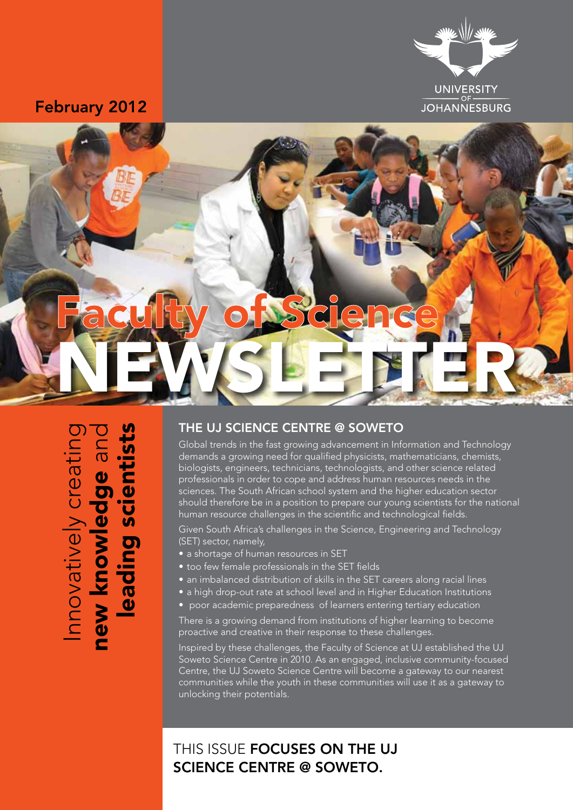

### February 2012



Innovatively creating<br>new knowledge and<br>leading scientists

#### THE UJ SCIENCE CENTRE @ SOWETO

Global trends in the fast growing advancement in Information and Technology demands a growing need for qualified physicists, mathematicians, chemists, biologists, engineers, technicians, technologists, and other science related professionals in order to cope and address human resources needs in the sciences. The South African school system and the higher education sector should therefore be in a position to prepare our young scientists for the national human resource challenges in the scientific and technological fields.

Given South Africa's challenges in the Science, Engineering and Technology (SET) sector, namely,

- a shortage of human resources in SET
- too few female professionals in the SET fields
- an imbalanced distribution of skills in the SET careers along racial lines
- a high drop-out rate at school level and in Higher Education Institutions
- poor academic preparedness of learners entering tertiary education

There is a growing demand from institutions of higher learning to become proactive and creative in their response to these challenges.

Inspired by these challenges, the Faculty of Science at UJ established the UJ Soweto Science Centre in 2010. As an engaged, inclusive community-focused Centre, the UJ Soweto Science Centre will become a gateway to our nearest communities while the youth in these communities will use it as a gateway to unlocking their potentials.

## THIS ISSUE **FOCUSES ON THE UJ** science centre @ soweto.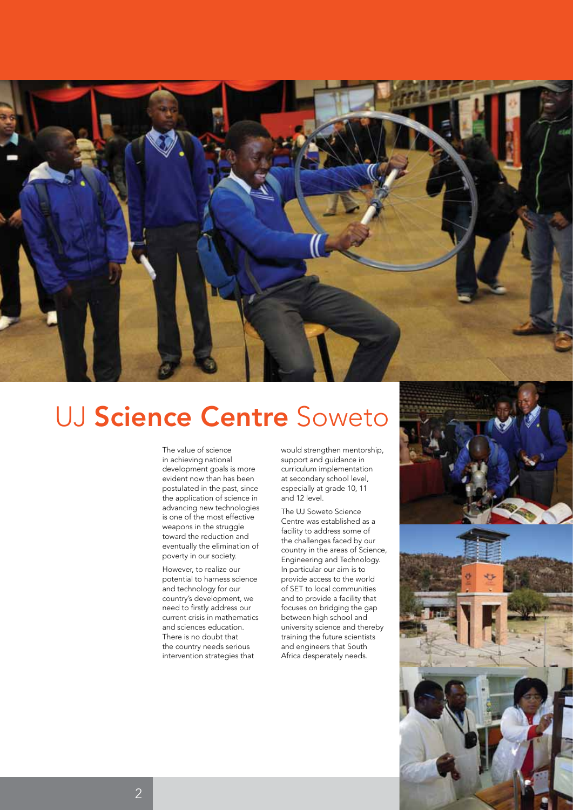

# UJ Science Centre Soweto

The value of science in achieving national development goals is more evident now than has been postulated in the past, since the application of science in advancing new technologies is one of the most effective weapons in the struggle toward the reduction and eventually the elimination of poverty in our society.

However, to realize our potential to harness science and technology for our country's development, we need to firstly address our current crisis in mathematics and sciences education. There is no doubt that the country needs serious intervention strategies that

would strengthen mentorship, support and guidance in curriculum implementation at secondary school level, especially at grade 10, 11 and 12 level.

The UJ Soweto Science Centre was established as a facility to address some of the challenges faced by our country in the areas of Science, Engineering and Technology. In particular our aim is to provide access to the world of SET to local communities and to provide a facility that focuses on bridging the gap between high school and university science and thereby training the future scientists and engineers that South Africa desperately needs.

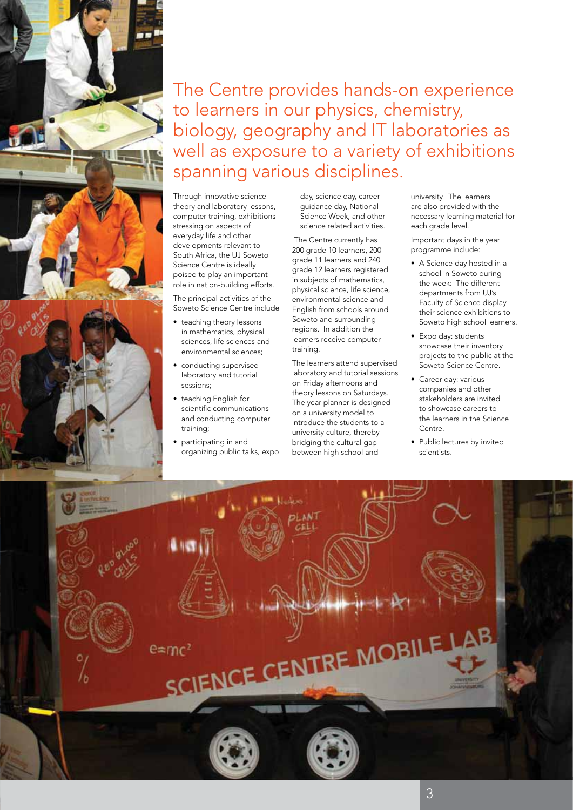

Through innovative science theory and laboratory lessons, computer training, exhibitions stressing on aspects of everyday life and other developments relevant to South Africa, the UJ Soweto Science Centre is ideally poised to play an important role in nation-building efforts.

The principal activities of the Soweto Science Centre include

- teaching theory lessons in mathematics, physical sciences, life sciences and environmental sciences;
- conducting supervised laboratory and tutorial sessions;
- • teaching English for scientific communications and conducting computer training;
- participating in and organizing public talks, expo

day, science day, career guidance day, National Science Week, and other science related activities.

 The Centre currently has 200 grade 10 learners, 200 grade 11 learners and 240 grade 12 learners registered in subjects of mathematics, physical science, life science, environmental science and English from schools around Soweto and surrounding regions. In addition the learners receive computer training.

The learners attend supervised laboratory and tutorial sessions on Friday afternoons and theory lessons on Saturdays. The year planner is designed on a university model to introduce the students to a university culture, thereby bridging the cultural gap between high school and

university. The learners are also provided with the necessary learning material for each grade level.

Important days in the year programme include:

- • A Science day hosted in a school in Soweto during the week: The different departments from UJ's Faculty of Science display their science exhibitions to Soweto high school learners.
- Expo day: students showcase their inventory projects to the public at the Soweto Science Centre.
- Career day: various companies and other stakeholders are invited to showcase careers to the learners in the Science Centre.
- Public lectures by invited scientists.

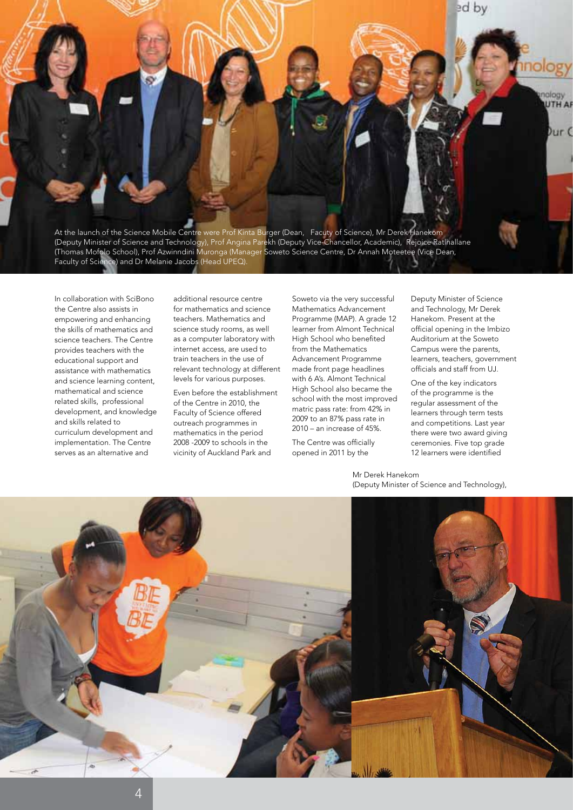At the launch of the Science Mobile Centre were Prof Kinta Burger (Dean, Facuty of Science), Mr Derek Hanekom (Deputy Minister of Science and Technology), Prof Angina Parekh (Deputy Vice-Chancellor, Academic), Rejoice Ratlhallane (Thomas Mofolo School), Prof Azwinndini Muronga (Manager Soweto Science Centre, Dr Annah Moteetee (Vice Dean, Faculty of Science) and Dr Melanie Jacobs (Head UPEQ).

In collaboration with SciBono the Centre also assists in empowering and enhancing the skills of mathematics and science teachers. The Centre provides teachers with the educational support and assistance with mathematics and science learning content, mathematical and science related skills, professional development, and knowledge and skills related to curriculum development and implementation. The Centre serves as an alternative and

additional resource centre for mathematics and science teachers. Mathematics and science study rooms, as well as a computer laboratory with internet access, are used to train teachers in the use of relevant technology at different levels for various purposes.

Even before the establishment of the Centre in 2010, the Faculty of Science offered outreach programmes in mathematics in the period 2008 -2009 to schools in the vicinity of Auckland Park and

Soweto via the very successful Mathematics Advancement Programme (MAP). A grade 12 learner from Almont Technical High School who benefited from the Mathematics Advancement Programme made front page headlines with 6 A's. Almont Technical High School also became the school with the most improved matric pass rate: from 42% in 2009 to an 87% pass rate in 2010 – an increase of 45%.

The Centre was officially opened in 2011 by the

Deputy Minister of Science and Technology, Mr Derek Hanekom. Present at the official opening in the Imbizo Auditorium at the Soweto Campus were the parents, learners, teachers, government officials and staff from UJ.

ed by

mology

vpolon **UTH AR** 

One of the key indicators of the programme is the regular assessment of the learners through term tests and competitions. Last year there were two award giving ceremonies. Five top grade 12 learners were identified

Mr Derek Hanekom (Deputy Minister of Science and Technology),

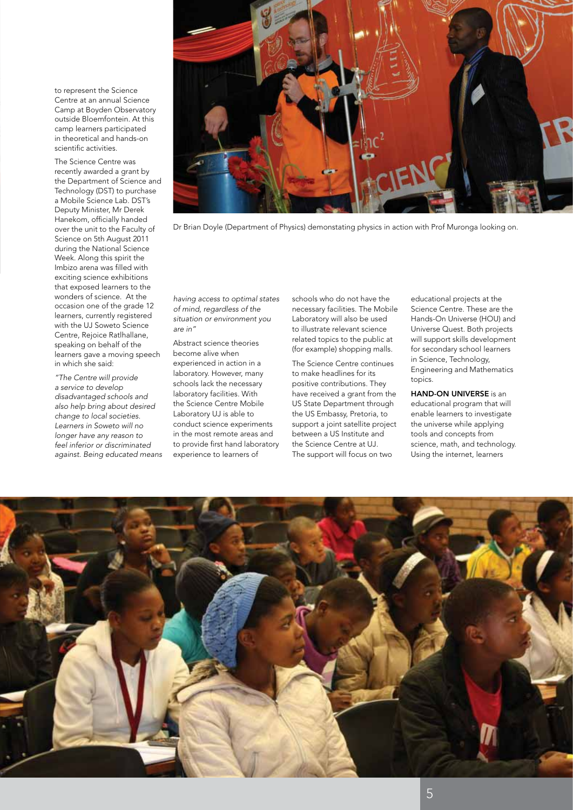to represent the Science Centre at an annual Science Camp at Boyden Observatory outside Bloemfontein. At this camp learners participated in theoretical and hands-on scientific activities.

The Science Centre was recently awarded a grant by the Department of Science and Technology (DST) to purchase a Mobile Science Lab. DST's Deputy Minister, Mr Derek Hanekom, officially handed over the unit to the Faculty of Science on 5th August 2011 during the National Science Week. Along this spirit the Imbizo arena was filled with exciting science exhibitions that exposed learners to the wonders of science. At the occasion one of the grade 12 learners, currently registered with the UJ Soweto Science Centre, Rejoice Ratlhallane, speaking on behalf of the learners gave a moving speech in which she said:

*"The Centre will provide a service to develop disadvantaged schools and also help bring about desired change to local societies. Learners in Soweto will no longer have any reason to feel inferior or discriminated against. Being educated means* 



Dr Brian Doyle (Department of Physics) demonstating physics in action with Prof Muronga looking on.

*having access to optimal states of mind, regardless of the situation or environment you are in"*

Abstract science theories become alive when experienced in action in a laboratory. However, many schools lack the necessary laboratory facilities. With the Science Centre Mobile Laboratory UJ is able to conduct science experiments in the most remote areas and to provide first hand laboratory experience to learners of

schools who do not have the necessary facilities. The Mobile Laboratory will also be used to illustrate relevant science related topics to the public at (for example) shopping malls.

The Science Centre continues to make headlines for its positive contributions. They have received a grant from the US State Department through the US Embassy, Pretoria, to support a joint satellite project between a US Institute and the Science Centre at UJ. The support will focus on two

educational projects at the Science Centre. These are the Hands-On Universe (HOU) and Universe Quest. Both projects will support skills development for secondary school learners in Science, Technology, Engineering and Mathematics topics.

HAND-ON UNIVERSE is an educational program that will enable learners to investigate the universe while applying tools and concepts from science, math, and technology. Using the internet, learners

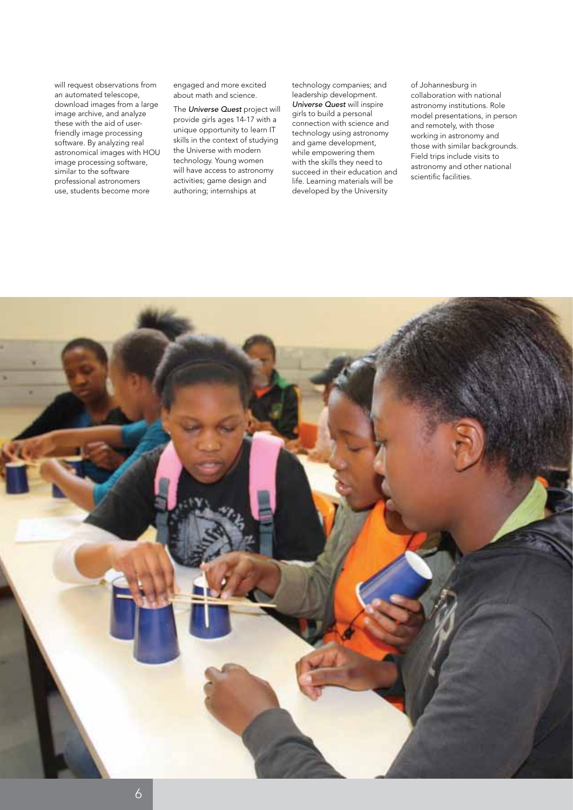will request observations from an automated telescope, download images from a large image archive, and analyze these with the aid of userfriendly image processing software. By analyzing real astronomical images with HOU image processing software, similar to the software professional astronomers use, students become more

engaged and more excited about math and science.

The *Universe Quest* project will provide girls ages 14-17 with a unique opportunity to learn IT skills in the context of studying the Universe with modern technology. Young women will have access to astronomy activities; game design and authoring; internships at

technology companies; and leadership development. *Universe Quest* will inspire girls to build a personal connection with science and technology using astronomy and game development, while empowering them with the skills they need to succeed in their education and life. Learning materials will be developed by the University

of Johannesburg in collaboration with national astronomy institutions. Role model presentations, in person and remotely, with those working in astronomy and those with similar backgrounds. Field trips include visits to astronomy and other national scientific facilities.

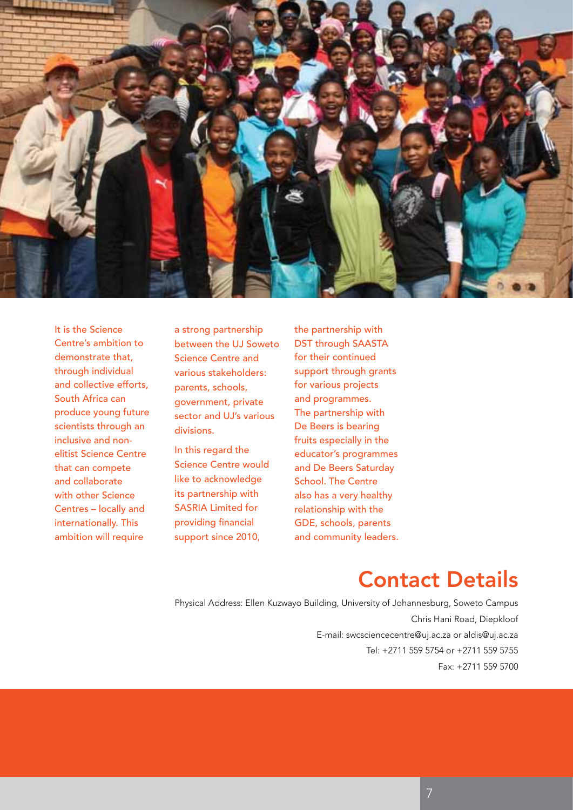

It is the Science Centre's ambition to demonstrate that, through individual and collective efforts, South Africa can produce young future scientists through an inclusive and nonelitist Science Centre that can compete and collaborate with other Science Centres – locally and internationally. This ambition will require

a strong partnership between the UJ Soweto Science Centre and various stakeholders: parents, schools, government, private sector and UJ's various divisions.

In this regard the Science Centre would like to acknowledge its partnership with SASRIA Limited for providing financial support since 2010,

the partnership with DST through SAASTA for their continued support through grants for various projects and programmes. The partnership with De Beers is bearing fruits especially in the educator's programmes and De Beers Saturday School. The Centre also has a very healthy relationship with the GDE, schools, parents and community leaders.

## Contact Details

Physical Address: Ellen Kuzwayo Building, University of Johannesburg, Soweto Campus Chris Hani Road, Diepkloof E-mail: swcsciencecentre@uj.ac.za or aldis@uj.ac.za Tel: +2711 559 5754 or +2711 559 5755 Fax: +2711 559 5700